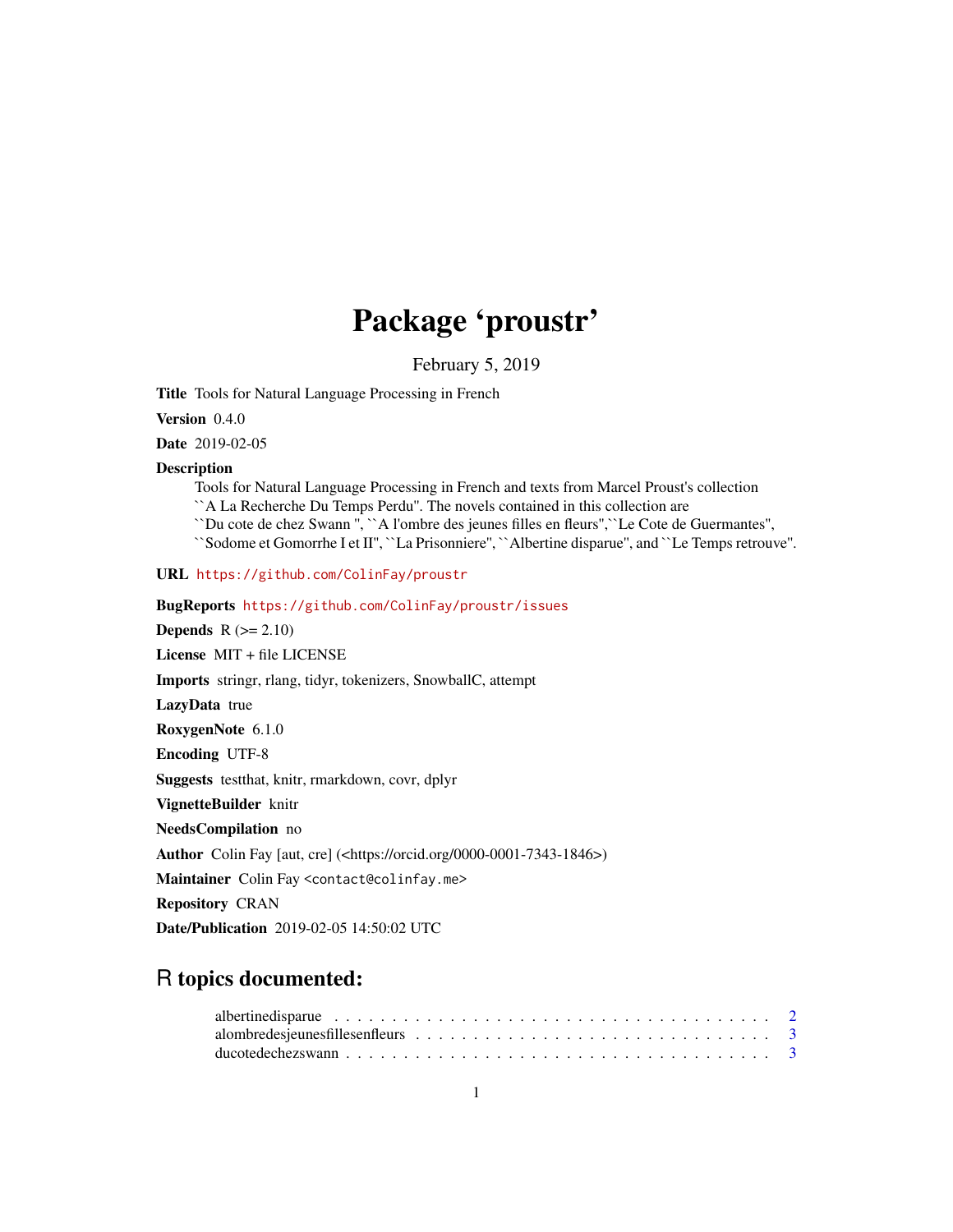# Package 'proustr'

February 5, 2019

Title Tools for Natural Language Processing in French

Version 0.4.0

Date 2019-02-05

#### Description

Tools for Natural Language Processing in French and texts from Marcel Proust's collection

``A La Recherche Du Temps Perdu''. The novels contained in this collection are

``Du cote de chez Swann '', ``A l'ombre des jeunes filles en fleurs'',``Le Cote de Guermantes'',

``Sodome et Gomorrhe I et II'', ``La Prisonniere'', ``Albertine disparue'', and ``Le Temps retrouve''.

URL <https://github.com/ColinFay/proustr>

BugReports <https://github.com/ColinFay/proustr/issues>

**Depends**  $R$  ( $>= 2.10$ )

License MIT + file LICENSE

Imports stringr, rlang, tidyr, tokenizers, SnowballC, attempt

LazyData true

RoxygenNote 6.1.0

Encoding UTF-8

Suggests testthat, knitr, rmarkdown, covr, dplyr

VignetteBuilder knitr

NeedsCompilation no

Author Colin Fay [aut, cre] (<https://orcid.org/0000-0001-7343-1846>)

Maintainer Colin Fay <contact@colinfay.me>

Repository CRAN

Date/Publication 2019-02-05 14:50:02 UTC

# R topics documented: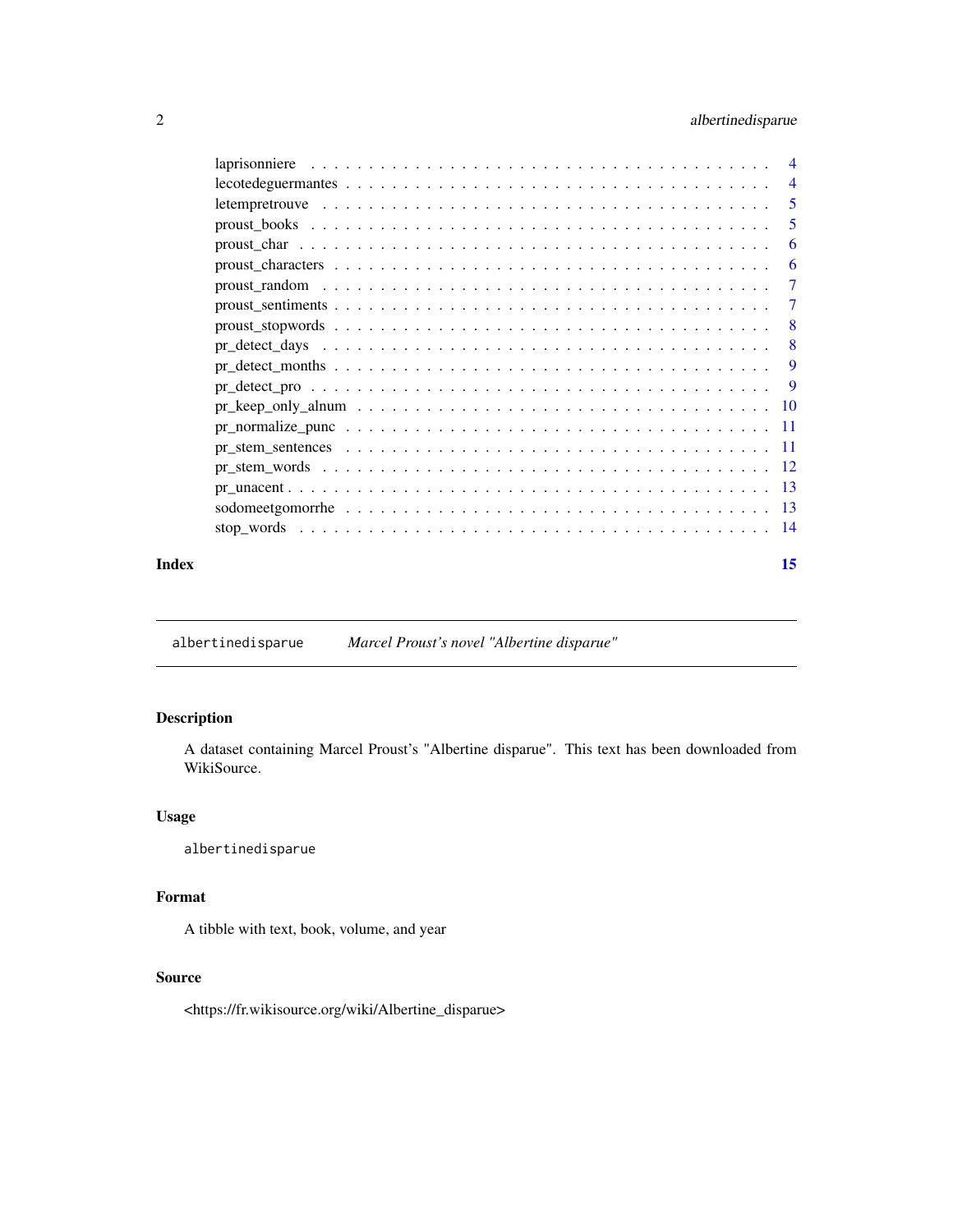# <span id="page-1-0"></span>2 albertinedisparue

|       |                                                                                                            | -5 |
|-------|------------------------------------------------------------------------------------------------------------|----|
|       |                                                                                                            | 5  |
|       |                                                                                                            | 6  |
|       |                                                                                                            | 6  |
|       | proust random $\ldots \ldots \ldots \ldots \ldots \ldots \ldots \ldots \ldots \ldots \ldots \ldots \ldots$ | -7 |
|       |                                                                                                            | -7 |
|       |                                                                                                            | -8 |
|       |                                                                                                            | -8 |
|       |                                                                                                            | 9  |
|       |                                                                                                            |    |
|       |                                                                                                            |    |
|       |                                                                                                            |    |
|       |                                                                                                            |    |
|       |                                                                                                            |    |
|       |                                                                                                            |    |
|       |                                                                                                            |    |
|       |                                                                                                            |    |
| Index |                                                                                                            | 15 |
|       |                                                                                                            |    |

albertinedisparue *Marcel Proust's novel "Albertine disparue"*

# Description

A dataset containing Marcel Proust's "Albertine disparue". This text has been downloaded from WikiSource.

# Usage

albertinedisparue

# Format

A tibble with text, book, volume, and year

# Source

<https://fr.wikisource.org/wiki/Albertine\_disparue>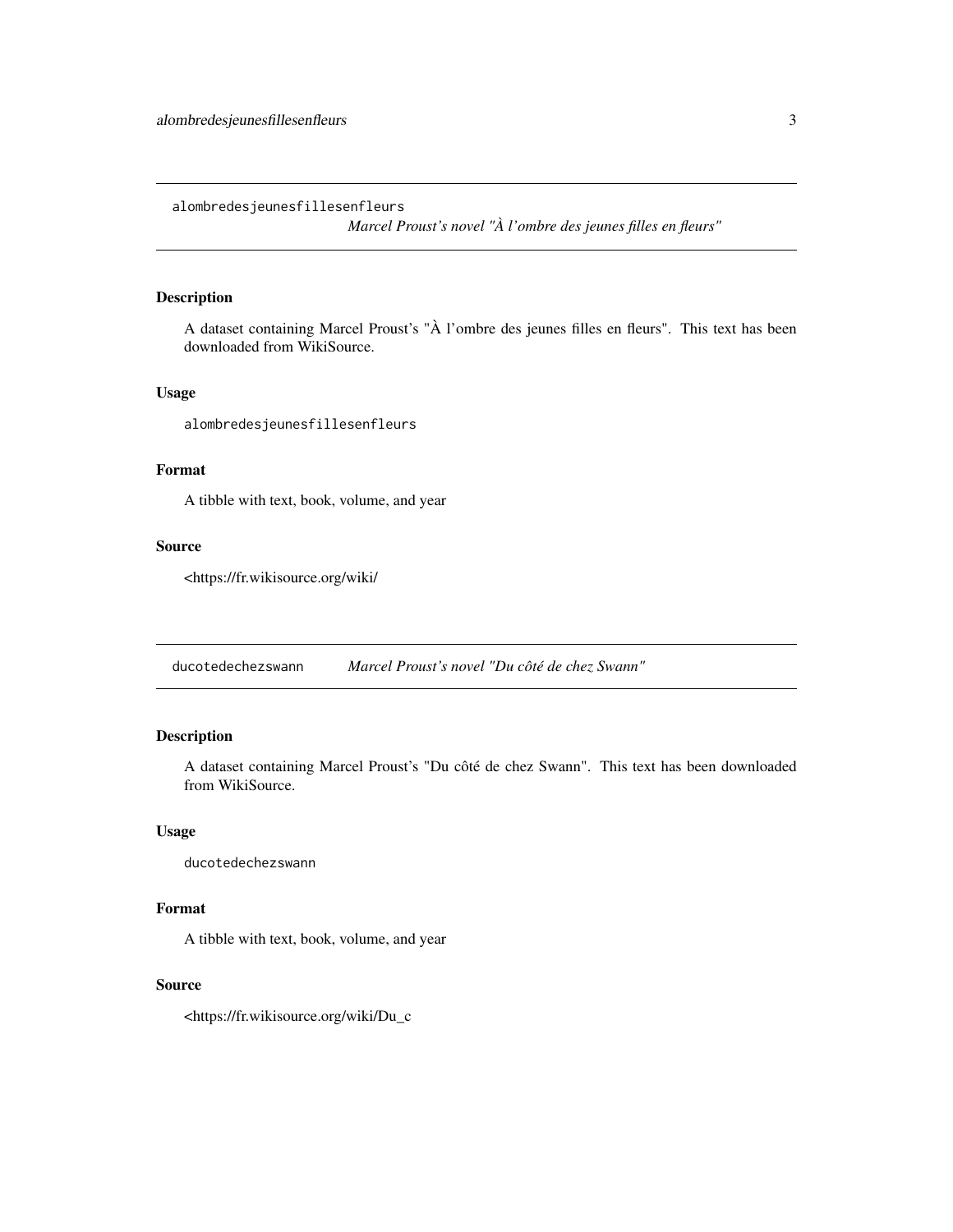<span id="page-2-0"></span>alombredesjeunesfillesenfleurs

*Marcel Proust's novel "À l'ombre des jeunes filles en fleurs"*

# Description

A dataset containing Marcel Proust's "À l'ombre des jeunes filles en fleurs". This text has been downloaded from WikiSource.

# Usage

alombredesjeunesfillesenfleurs

# Format

A tibble with text, book, volume, and year

# Source

<https://fr.wikisource.org/wiki/

ducotedechezswann *Marcel Proust's novel "Du côté de chez Swann"*

# Description

A dataset containing Marcel Proust's "Du côté de chez Swann". This text has been downloaded from WikiSource.

# Usage

ducotedechezswann

# Format

A tibble with text, book, volume, and year

#### Source

<https://fr.wikisource.org/wiki/Du\_c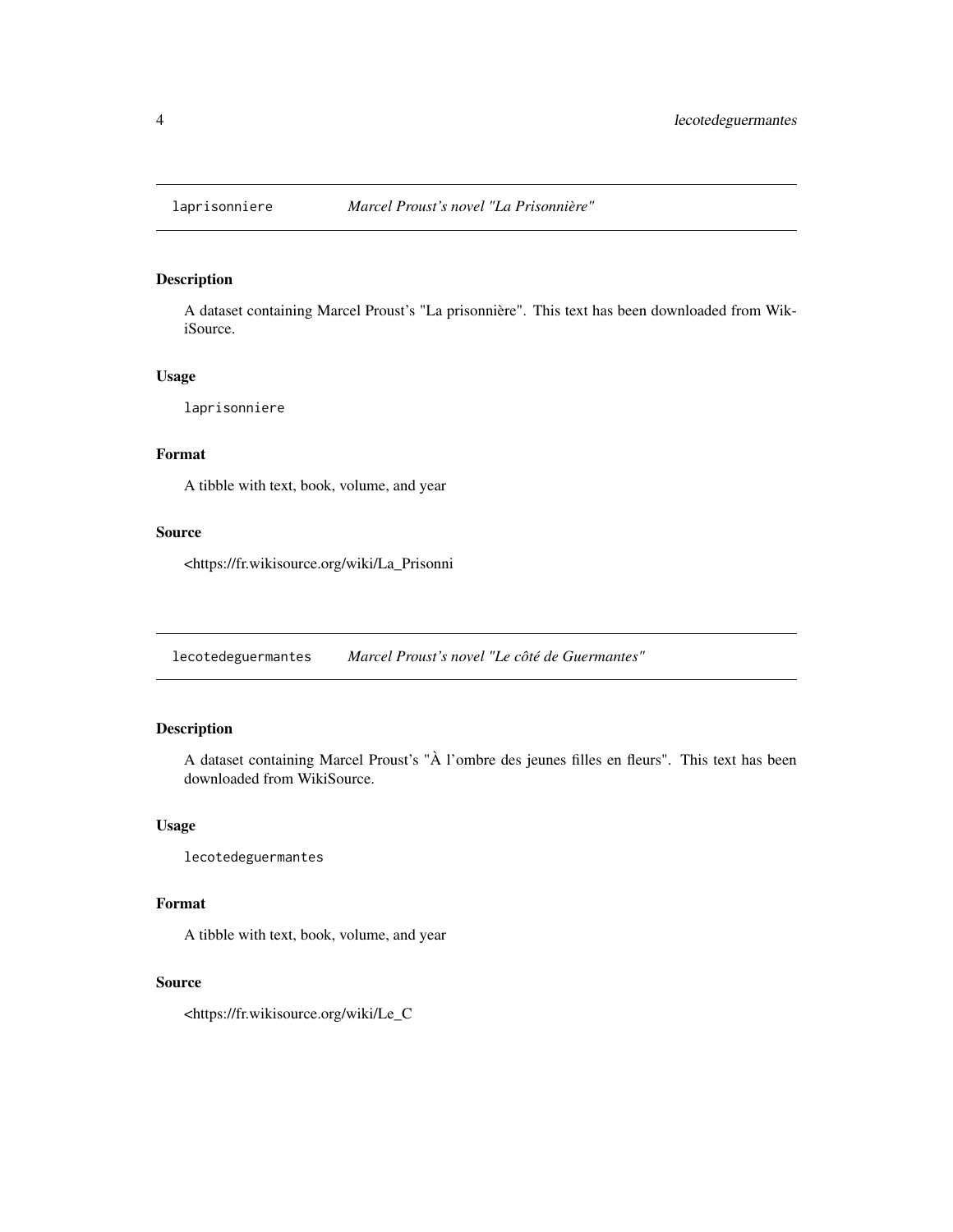<span id="page-3-0"></span>

A dataset containing Marcel Proust's "La prisonnière". This text has been downloaded from WikiSource.

# Usage

laprisonniere

# Format

A tibble with text, book, volume, and year

# Source

<https://fr.wikisource.org/wiki/La\_Prisonni

lecotedeguermantes *Marcel Proust's novel "Le côté de Guermantes"*

# Description

A dataset containing Marcel Proust's "À l'ombre des jeunes filles en fleurs". This text has been downloaded from WikiSource.

#### Usage

lecotedeguermantes

#### Format

A tibble with text, book, volume, and year

#### Source

<https://fr.wikisource.org/wiki/Le\_C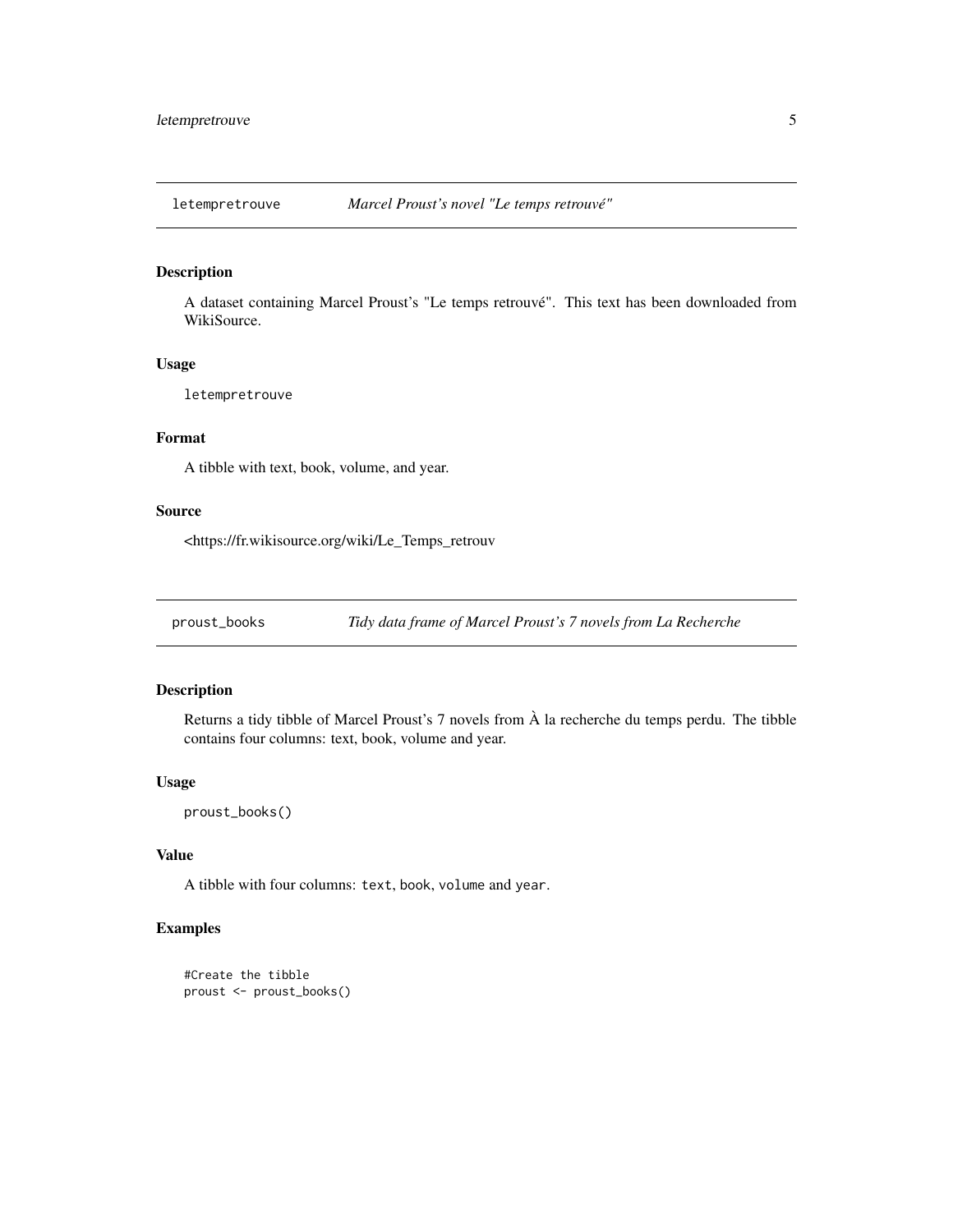<span id="page-4-0"></span>

A dataset containing Marcel Proust's "Le temps retrouvé". This text has been downloaded from WikiSource.

#### Usage

letempretrouve

# Format

A tibble with text, book, volume, and year.

#### Source

<https://fr.wikisource.org/wiki/Le\_Temps\_retrouv

proust\_books *Tidy data frame of Marcel Proust's 7 novels from La Recherche*

# Description

Returns a tidy tibble of Marcel Proust's 7 novels from À la recherche du temps perdu. The tibble contains four columns: text, book, volume and year.

#### Usage

proust\_books()

# Value

A tibble with four columns: text, book, volume and year.

# Examples

```
#Create the tibble
proust <- proust_books()
```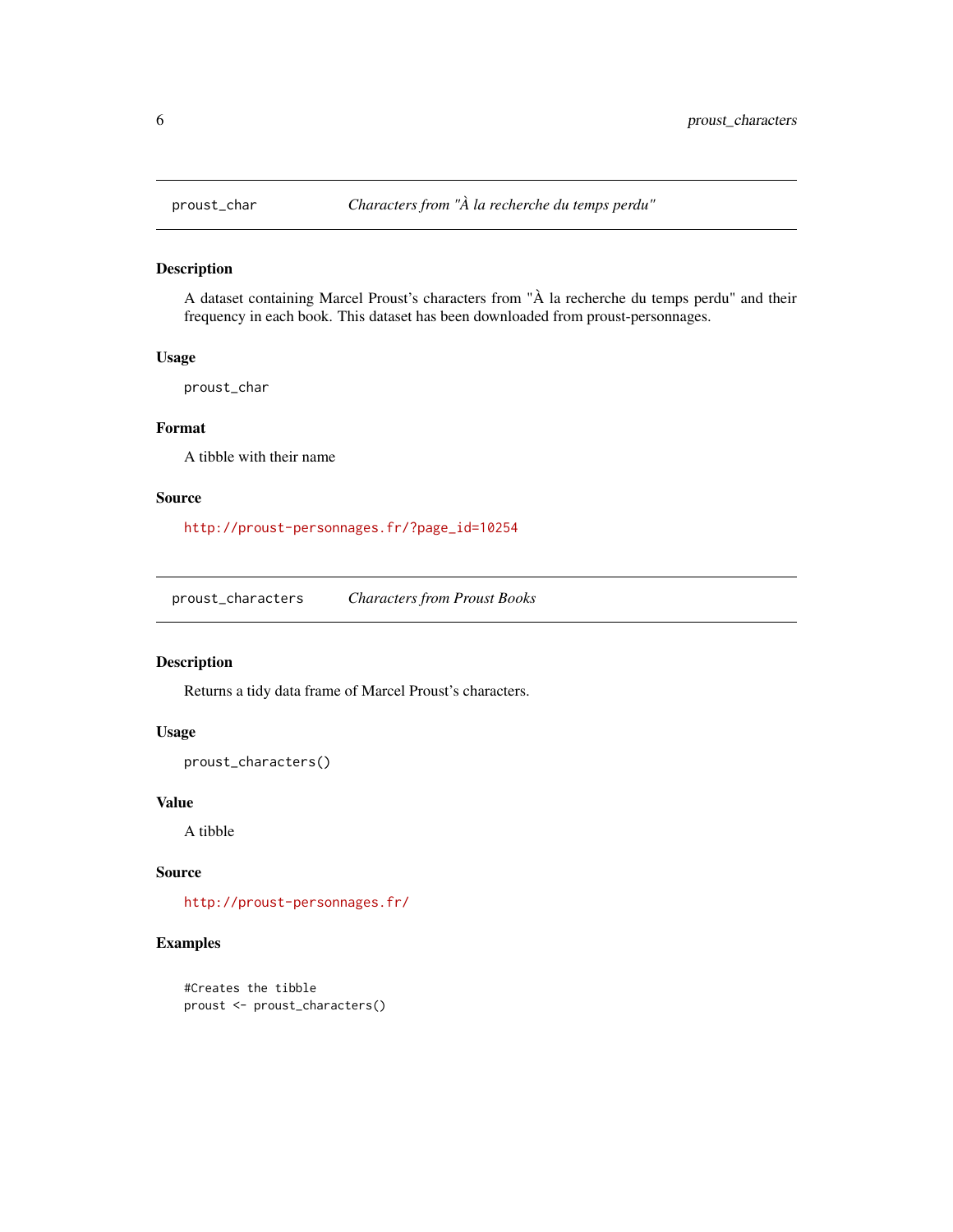<span id="page-5-0"></span>

A dataset containing Marcel Proust's characters from "À la recherche du temps perdu" and their frequency in each book. This dataset has been downloaded from proust-personnages.

# Usage

proust\_char

# Format

A tibble with their name

# Source

[http://proust-personnages.fr/?page\\_id=10254](http://proust-personnages.fr/?page_id=10254)

proust\_characters *Characters from Proust Books*

# Description

Returns a tidy data frame of Marcel Proust's characters.

# Usage

```
proust_characters()
```
#### Value

A tibble

# Source

<http://proust-personnages.fr/>

# Examples

```
#Creates the tibble
proust <- proust_characters()
```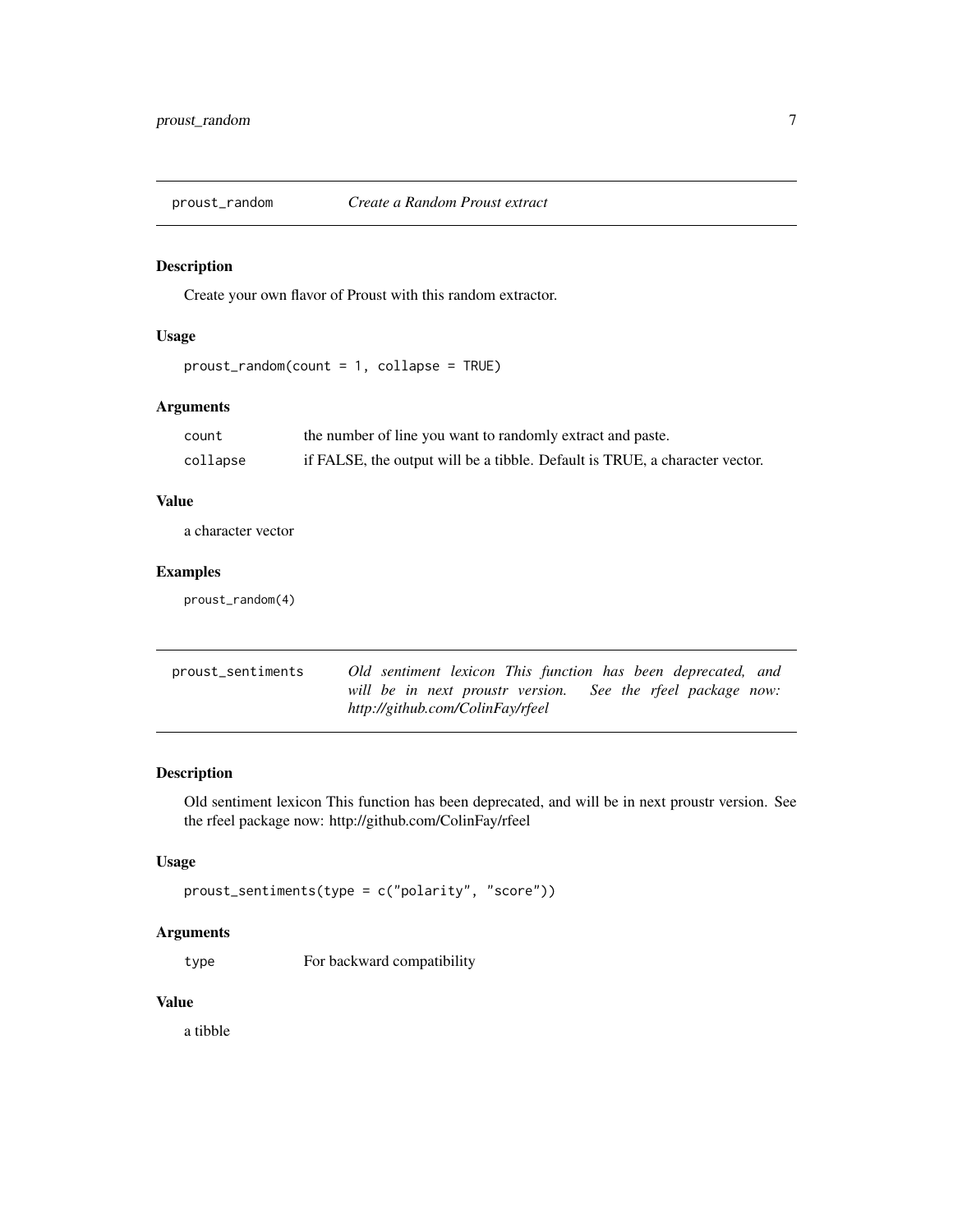<span id="page-6-0"></span>

Create your own flavor of Proust with this random extractor.

# Usage

proust\_random(count = 1, collapse = TRUE)

# Arguments

| count    | the number of line you want to randomly extract and paste.                  |
|----------|-----------------------------------------------------------------------------|
| collapse | if FALSE, the output will be a tibble. Default is TRUE, a character vector. |

# Value

a character vector

# Examples

proust\_random(4)

| proust_sentiments | Old sentiment lexicon This function has been deprecated, and |
|-------------------|--------------------------------------------------------------|
|                   | will be in next proustr version. See the rfeel package now:  |
|                   | http://github.com/ColinFay/rfeel                             |

# Description

Old sentiment lexicon This function has been deprecated, and will be in next proustr version. See the rfeel package now: http://github.com/ColinFay/rfeel

#### Usage

```
proust_sentiments(type = c("polarity", "score"))
```
# Arguments

type For backward compatibility

# Value

a tibble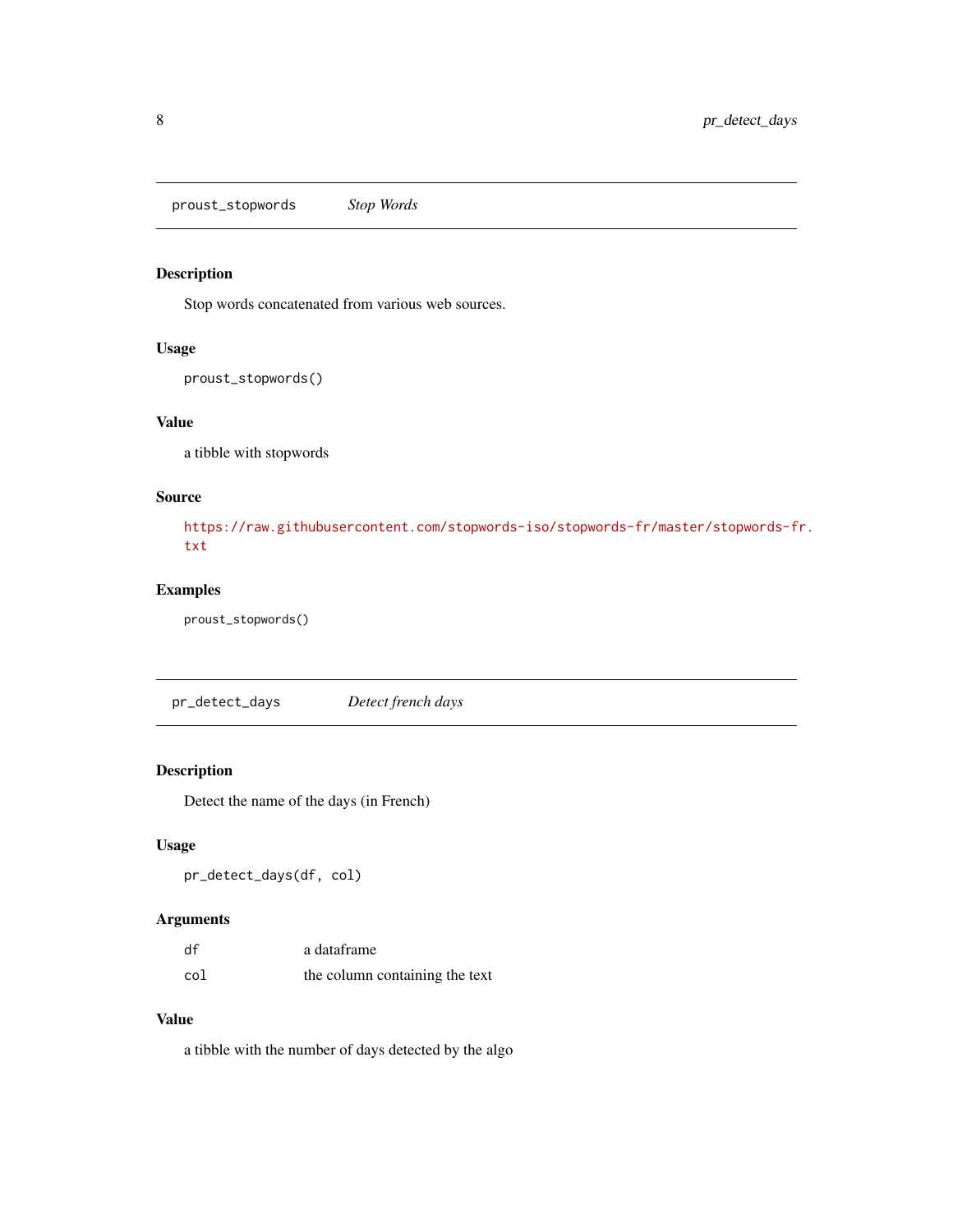<span id="page-7-0"></span>proust\_stopwords *Stop Words*

# Description

Stop words concatenated from various web sources.

#### Usage

```
proust_stopwords()
```
# Value

a tibble with stopwords

# Source

[https://raw.githubusercontent.com/stopwords-iso/stopwords-fr/master/stopwords-f](https://raw.githubusercontent.com/stopwords-iso/stopwords-fr/master/stopwords-fr.txt)r. [txt](https://raw.githubusercontent.com/stopwords-iso/stopwords-fr/master/stopwords-fr.txt)

# Examples

proust\_stopwords()

pr\_detect\_days *Detect french days*

# Description

Detect the name of the days (in French)

# Usage

```
pr_detect_days(df, col)
```
# Arguments

| df  | a dataframe                    |
|-----|--------------------------------|
| col | the column containing the text |

# Value

a tibble with the number of days detected by the algo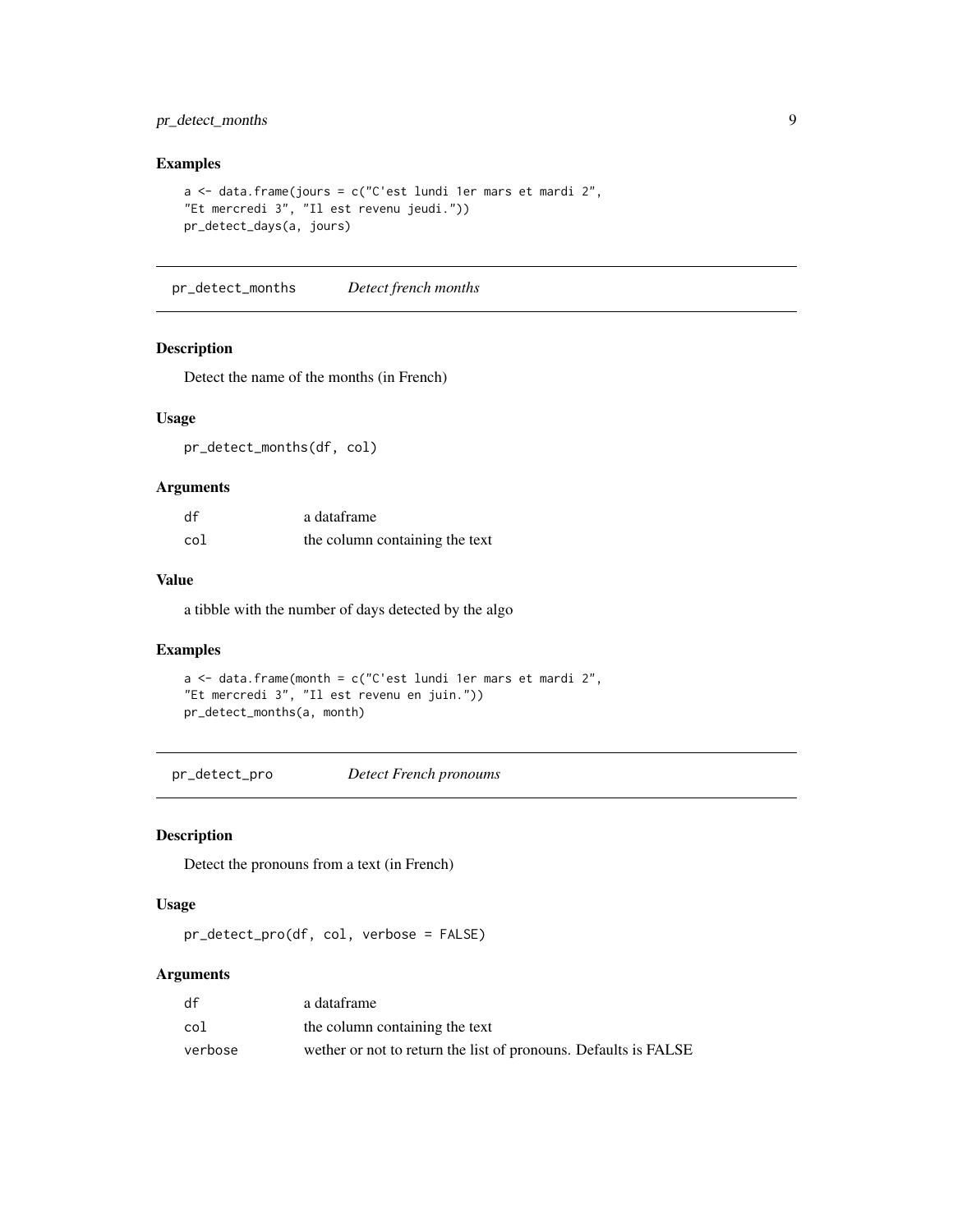# <span id="page-8-0"></span>pr\_detect\_months 9

# Examples

```
a \leq data.frame(jours = c("C'est lundi 1er mars et mardi 2",
"Et mercredi 3", "Il est revenu jeudi."))
pr_detect_days(a, jours)
```
pr\_detect\_months *Detect french months*

#### Description

Detect the name of the months (in French)

# Usage

pr\_detect\_months(df, col)

# Arguments

| df  | a dataframe                    |
|-----|--------------------------------|
| col | the column containing the text |

#### Value

a tibble with the number of days detected by the algo

# Examples

 $a \leq -$  data.frame(month = c("C'est lundi 1er mars et mardi 2", "Et mercredi 3", "Il est revenu en juin.")) pr\_detect\_months(a, month)

pr\_detect\_pro *Detect French pronoums*

# Description

Detect the pronouns from a text (in French)

#### Usage

pr\_detect\_pro(df, col, verbose = FALSE)

# Arguments

| df      | a dataframe                                                     |
|---------|-----------------------------------------------------------------|
| col     | the column containing the text                                  |
| verbose | wether or not to return the list of pronouns. Defaults is FALSE |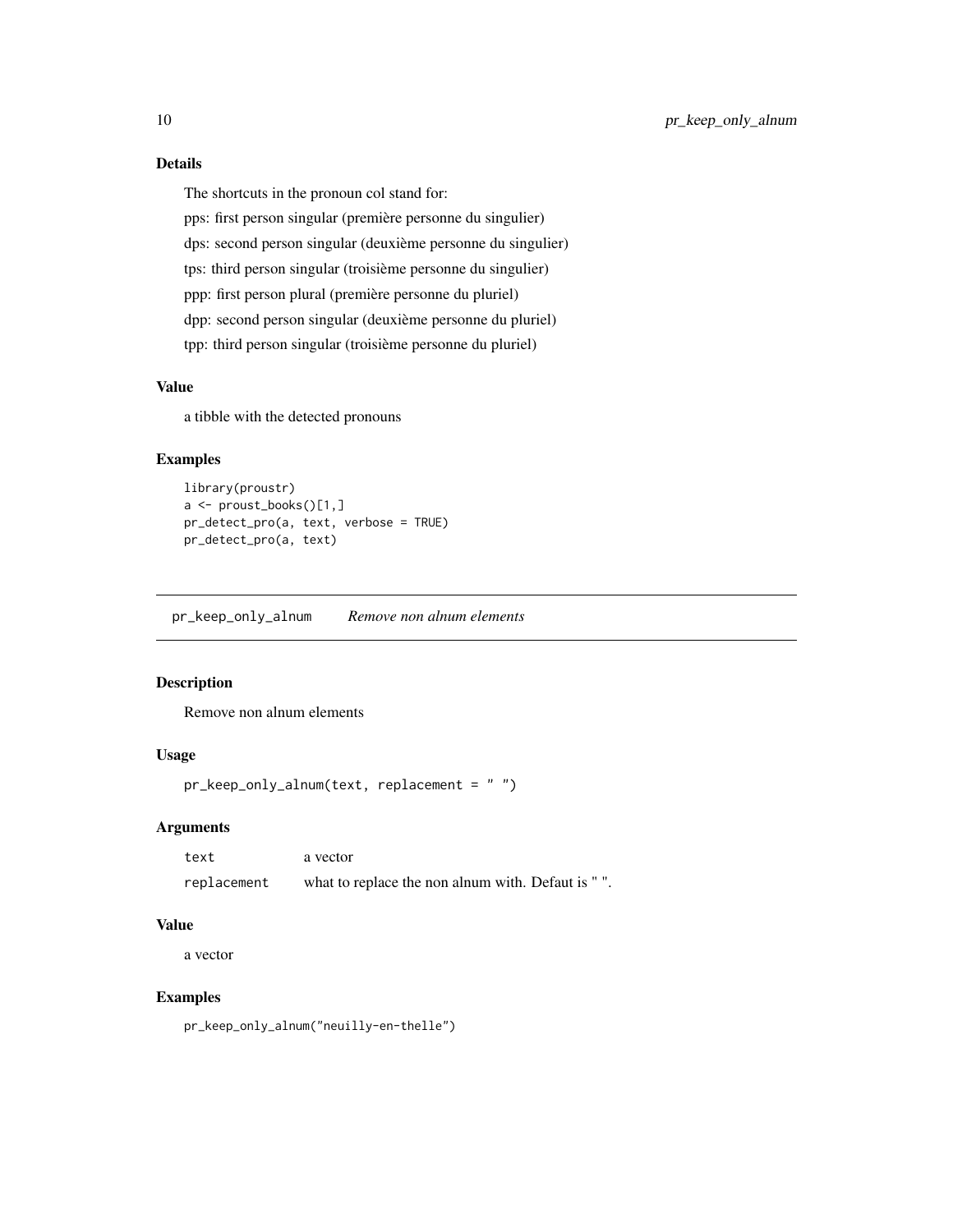# Details

The shortcuts in the pronoun col stand for:

pps: first person singular (première personne du singulier) dps: second person singular (deuxième personne du singulier) tps: third person singular (troisième personne du singulier) ppp: first person plural (première personne du pluriel) dpp: second person singular (deuxième personne du pluriel) tpp: third person singular (troisième personne du pluriel)

# Value

a tibble with the detected pronouns

#### Examples

```
library(proustr)
a <- proust_books()[1,]
pr_detect_pro(a, text, verbose = TRUE)
pr_detect_pro(a, text)
```
pr\_keep\_only\_alnum *Remove non alnum elements*

# Description

Remove non alnum elements

# Usage

```
pr_keep_only_alnum(text, replacement = " ")
```
# Arguments

| text        | a vector                                          |
|-------------|---------------------------------------------------|
| replacement | what to replace the non alnum with. Defaut is "". |

# Value

a vector

# Examples

pr\_keep\_only\_alnum("neuilly-en-thelle")

<span id="page-9-0"></span>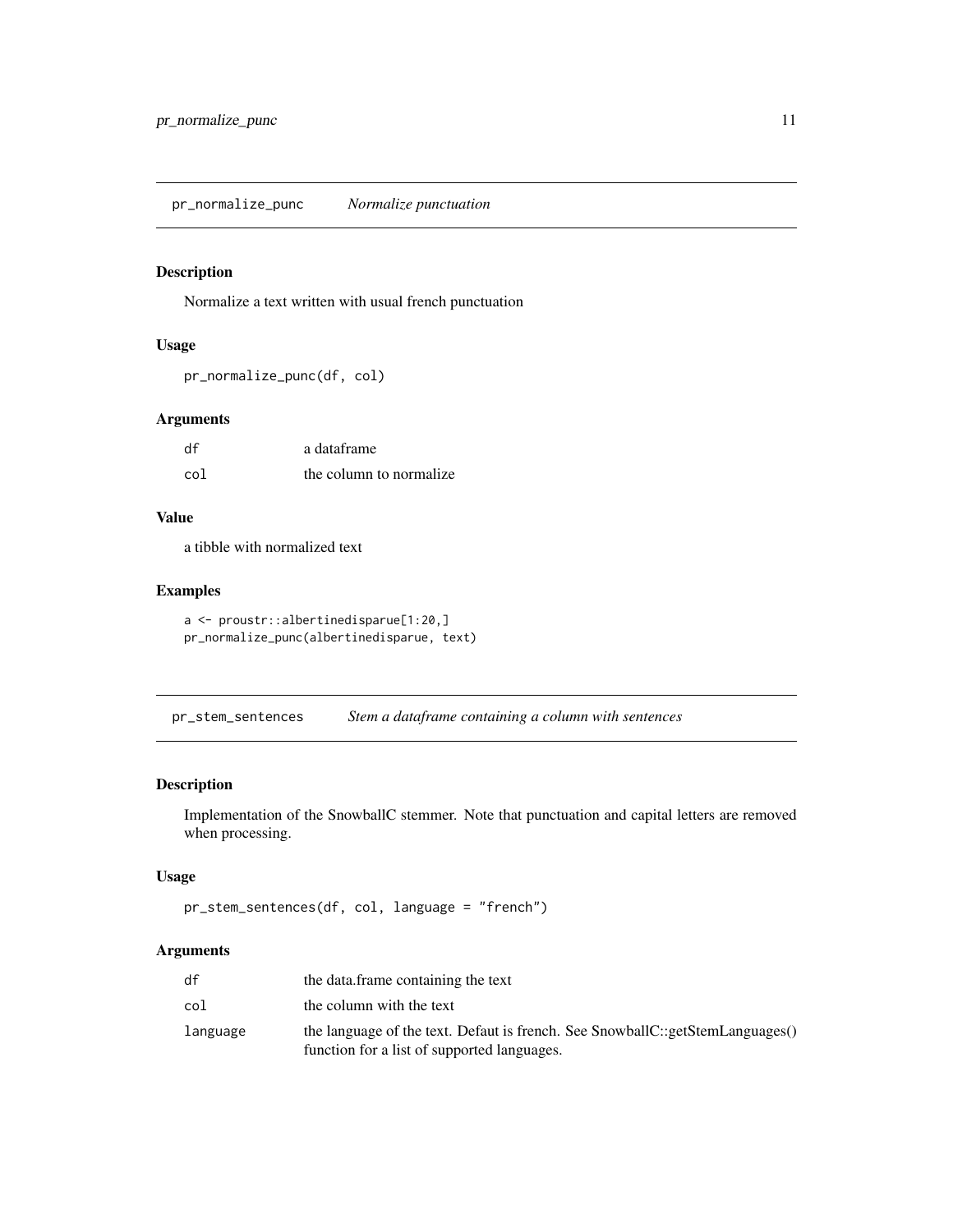<span id="page-10-0"></span>pr\_normalize\_punc *Normalize punctuation*

# Description

Normalize a text written with usual french punctuation

# Usage

```
pr_normalize_punc(df, col)
```
# Arguments

| df  | a dataframe             |
|-----|-------------------------|
| col | the column to normalize |

# Value

a tibble with normalized text

# Examples

```
a <- proustr::albertinedisparue[1:20,]
pr_normalize_punc(albertinedisparue, text)
```
pr\_stem\_sentences *Stem a dataframe containing a column with sentences*

# Description

Implementation of the SnowballC stemmer. Note that punctuation and capital letters are removed when processing.

# Usage

```
pr_stem_sentences(df, col, language = "french")
```
# Arguments

| df       | the data, frame containing the text                                                                                          |
|----------|------------------------------------------------------------------------------------------------------------------------------|
| col      | the column with the text                                                                                                     |
| language | the language of the text. Defaut is french. See SnowballC::getStemLanguages()<br>function for a list of supported languages. |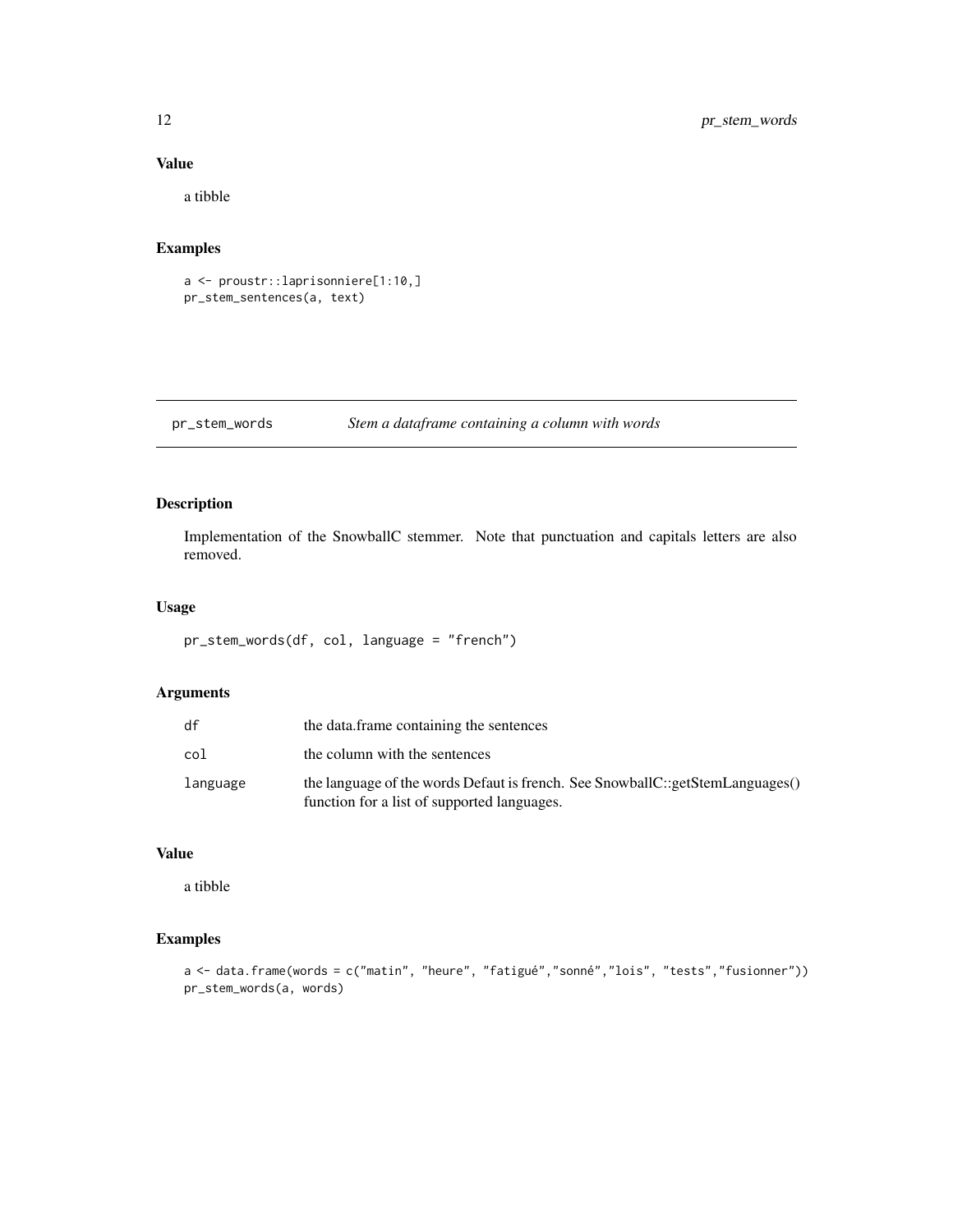# Value

a tibble

# Examples

a <- proustr::laprisonniere[1:10,] pr\_stem\_sentences(a, text)

pr\_stem\_words *Stem a dataframe containing a column with words*

# Description

Implementation of the SnowballC stemmer. Note that punctuation and capitals letters are also removed.

# Usage

pr\_stem\_words(df, col, language = "french")

# Arguments

| df       | the data.frame containing the sentences                                                                                      |
|----------|------------------------------------------------------------------------------------------------------------------------------|
| col      | the column with the sentences                                                                                                |
| language | the language of the words Defaut is french. See SnowballC::getStemLanguages()<br>function for a list of supported languages. |

#### Value

a tibble

# Examples

a <- data.frame(words = c("matin", "heure", "fatigué","sonné","lois", "tests","fusionner")) pr\_stem\_words(a, words)

<span id="page-11-0"></span>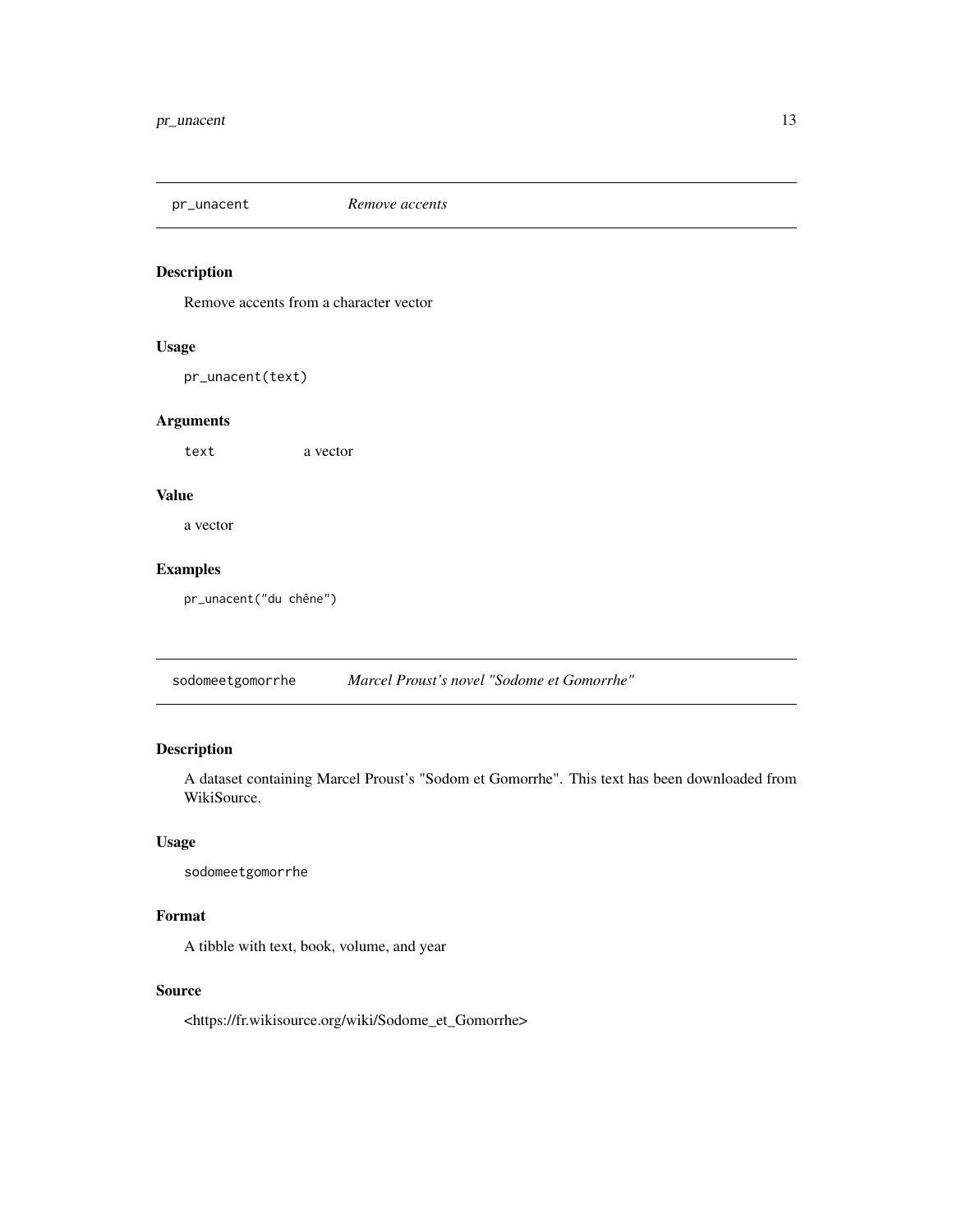#### <span id="page-12-0"></span>pr\_unacent *Remove accents*

# Description

Remove accents from a character vector

#### Usage

pr\_unacent(text)

# Arguments

text a vector

# Value

a vector

# Examples

pr\_unacent("du chêne")

sodomeetgomorrhe *Marcel Proust's novel "Sodome et Gomorrhe"*

# Description

A dataset containing Marcel Proust's "Sodom et Gomorrhe". This text has been downloaded from WikiSource.

# Usage

sodomeetgomorrhe

# Format

A tibble with text, book, volume, and year

#### Source

<https://fr.wikisource.org/wiki/Sodome\_et\_Gomorrhe>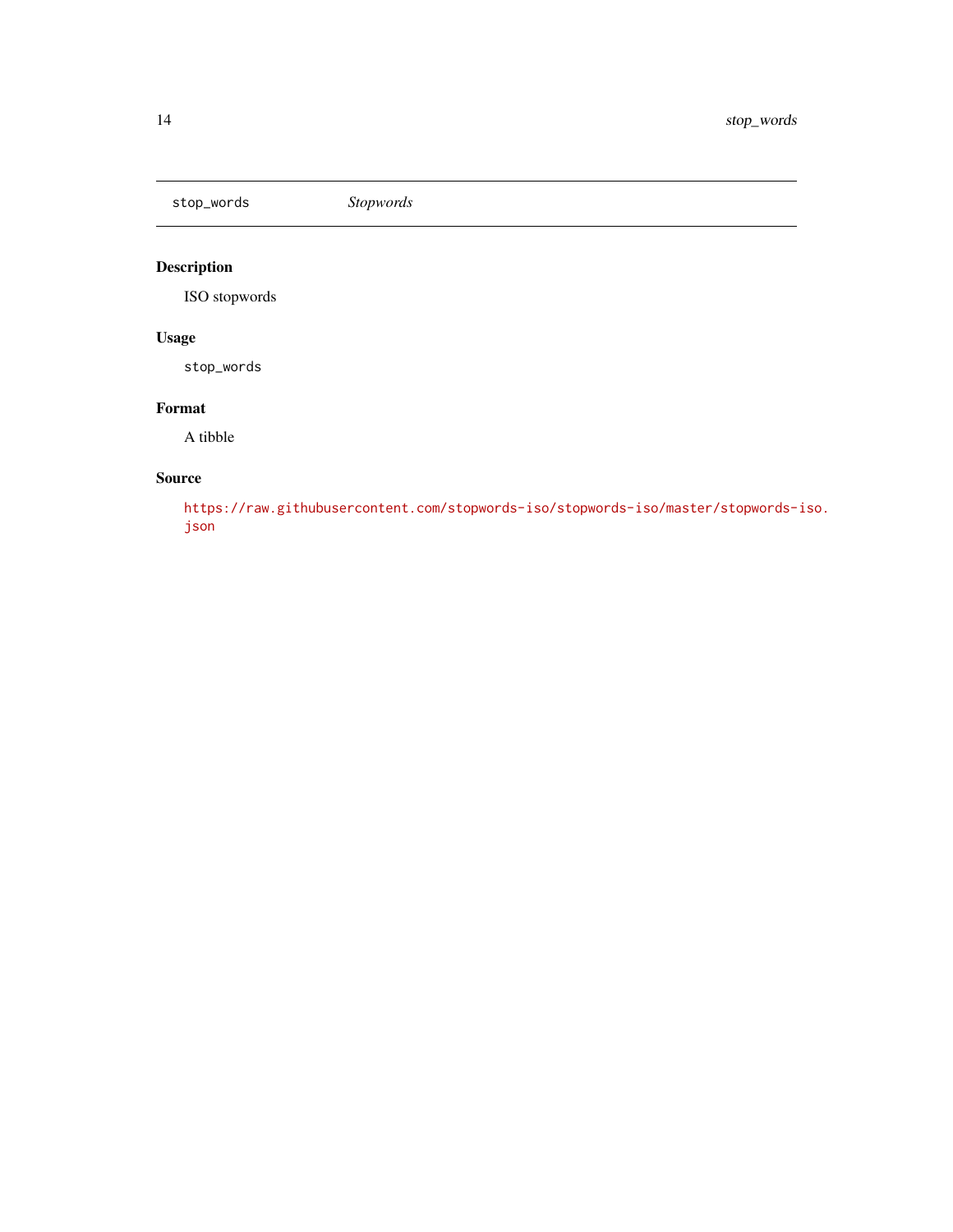<span id="page-13-0"></span>stop\_words *Stopwords*

# Description

ISO stopwords

# Usage

stop\_words

# Format

A tibble

# Source

[https://raw.githubusercontent.com/stopwords-iso/stopwords-iso/master/stopwords-](https://raw.githubusercontent.com/stopwords-iso/stopwords-iso/master/stopwords-iso.json)iso. [json](https://raw.githubusercontent.com/stopwords-iso/stopwords-iso/master/stopwords-iso.json)